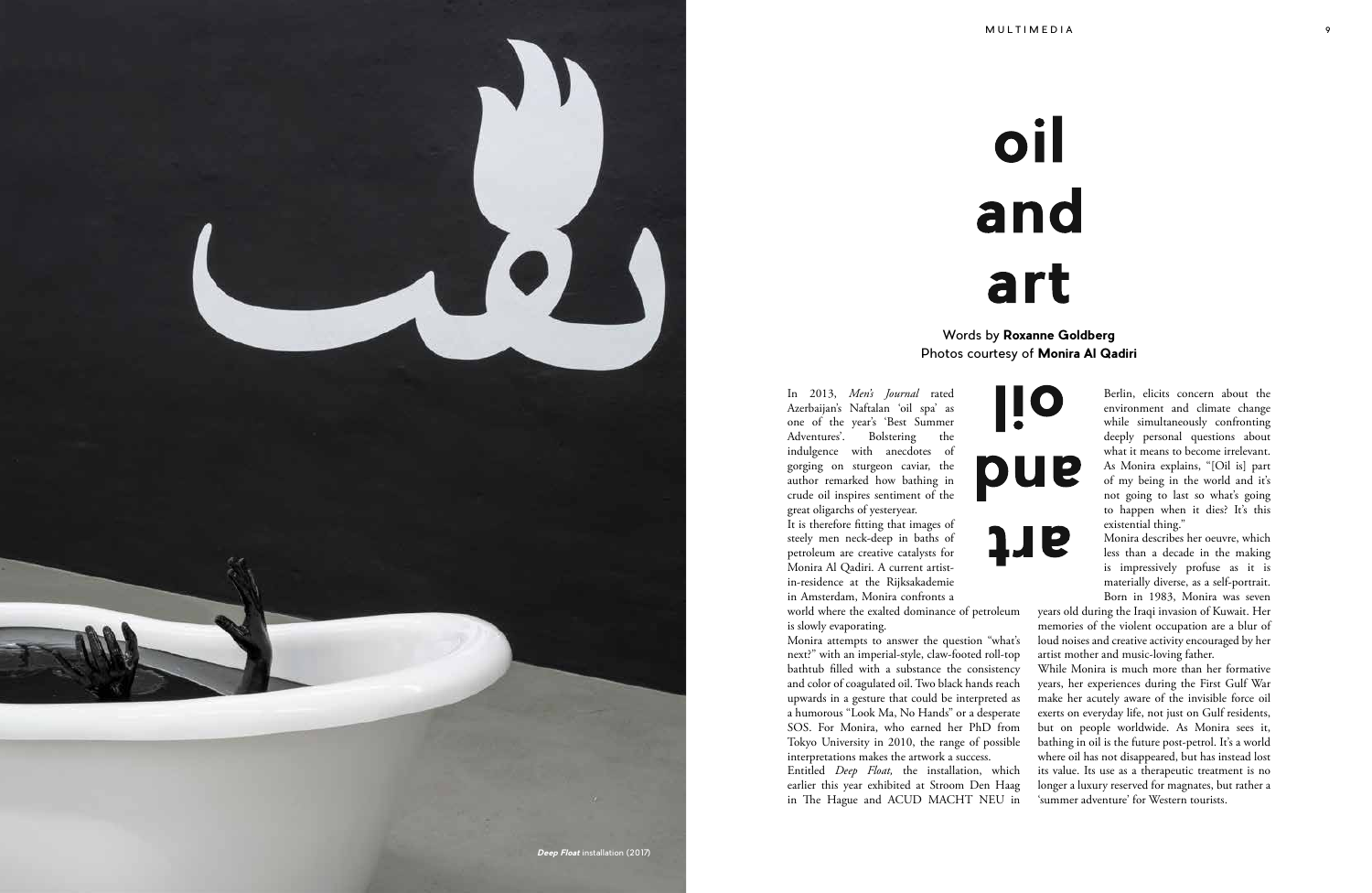In 2013, *Men's Journal* rated Azerbaijan's Naftalan 'oil spa' as one of the year's 'Best Summer Adventures'. Bolstering the indulgence with anecdotes of gorging on sturgeon caviar, the author remarked how bathing in crude oil inspires sentiment of the great oligarchs of yesteryear.

It is therefore fitting that images of steely men neck-deep in baths of petroleum are creative catalysts for Monira Al Qadiri. A current artistin-residence at the Rijksakademie in Amsterdam, Monira confronts a

world where the exalted dominance of petroleum is slowly evaporating.

Monira attempts to answer the question "what's next?" with an imperial-style, claw-footed roll-top bathtub filled with a substance the consistency and color of coagulated oil. Two black hands reach upwards in a gesture that could be interpreted as a humorous "Look Ma, No Hands" or a desperate SOS. For Monira, who earned her PhD from Tokyo University in 2010, the range of possible interpretations makes the artwork a success. Entitled *Deep Float,* the installation, which earlier this year exhibited at Stroom Den Haag in The Hague and ACUD MACHT NEU in





Berlin, elicits concern about the environment and climate change while simultaneously confronting deeply personal questions about what it means to become irrelevant. As Monira explains, "[Oil is] part of my being in the world and it's not going to last so what's going to happen when it dies? It's this existential thing."

Monira describes her oeuvre, which less than a decade in the making is impressively profuse as it is materially diverse, as a self-portrait. Born in 1983, Monira was seven

years old during the Iraqi invasion of Kuwait. Her memories of the violent occupation are a blur of loud noises and creative activity encouraged by her artist mother and music-loving father.

While Monira is much more than her formative years, her experiences during the First Gulf War make her acutely aware of the invisible force oil exerts on everyday life, not just on Gulf residents, but on people worldwide. As Monira sees it, bathing in oil is the future post-petrol. It's a world where oil has not disappeared, but has instead lost its value. Its use as a therapeutic treatment is no longer a luxury reserved for magnates, but rather a 'summer adventure' for Western tourists.

Words by **Roxanne Goldberg** Photos courtesy of **Monira Al Qadiri**

# *Deep Float* installation (2017)

# oil and art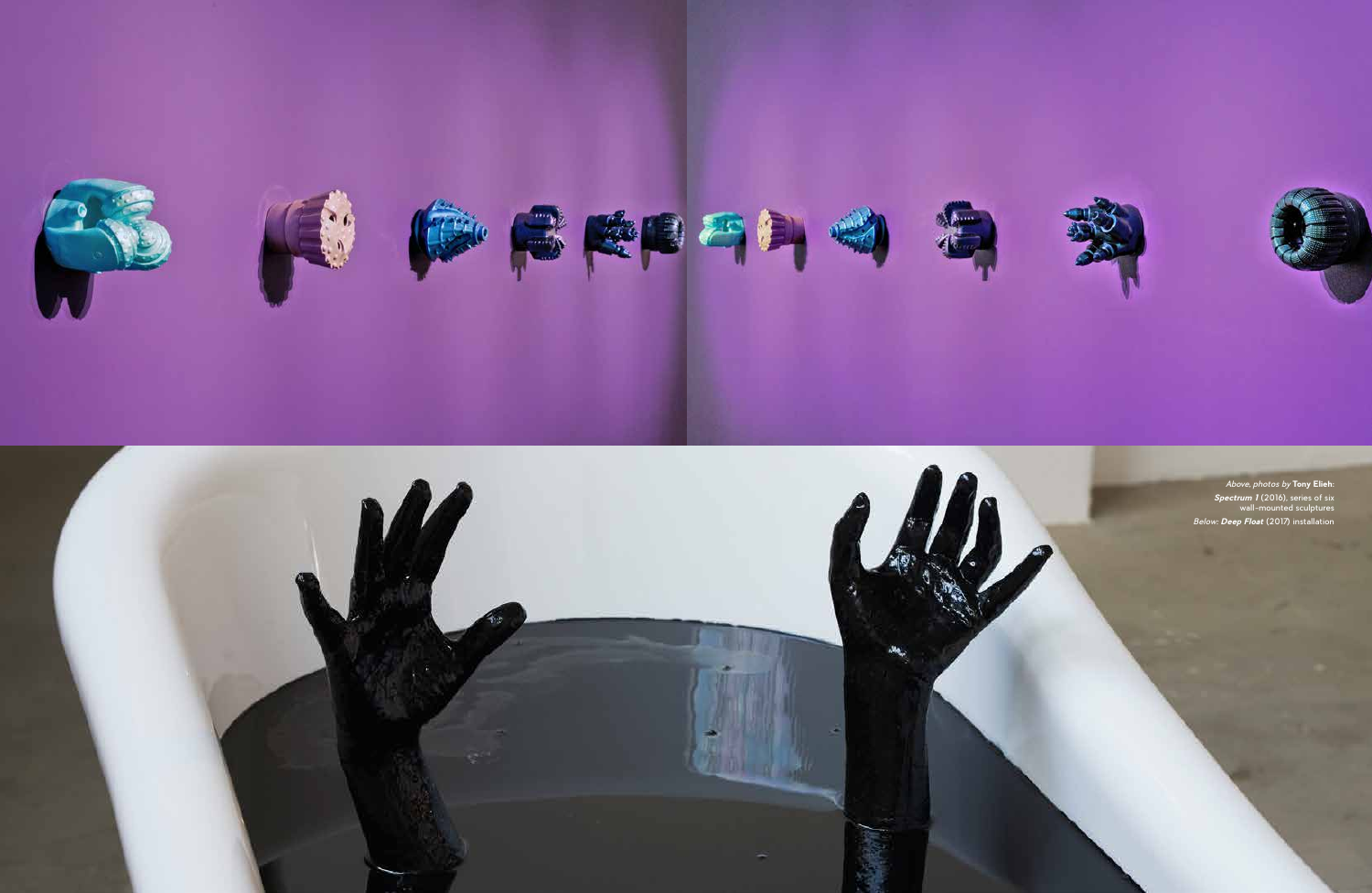



*Above, photos by* **Tony Elieh**: *Spectrum 1* (2016), series of six wall-mounted sculptures *Below: Deep Float* (2017) installation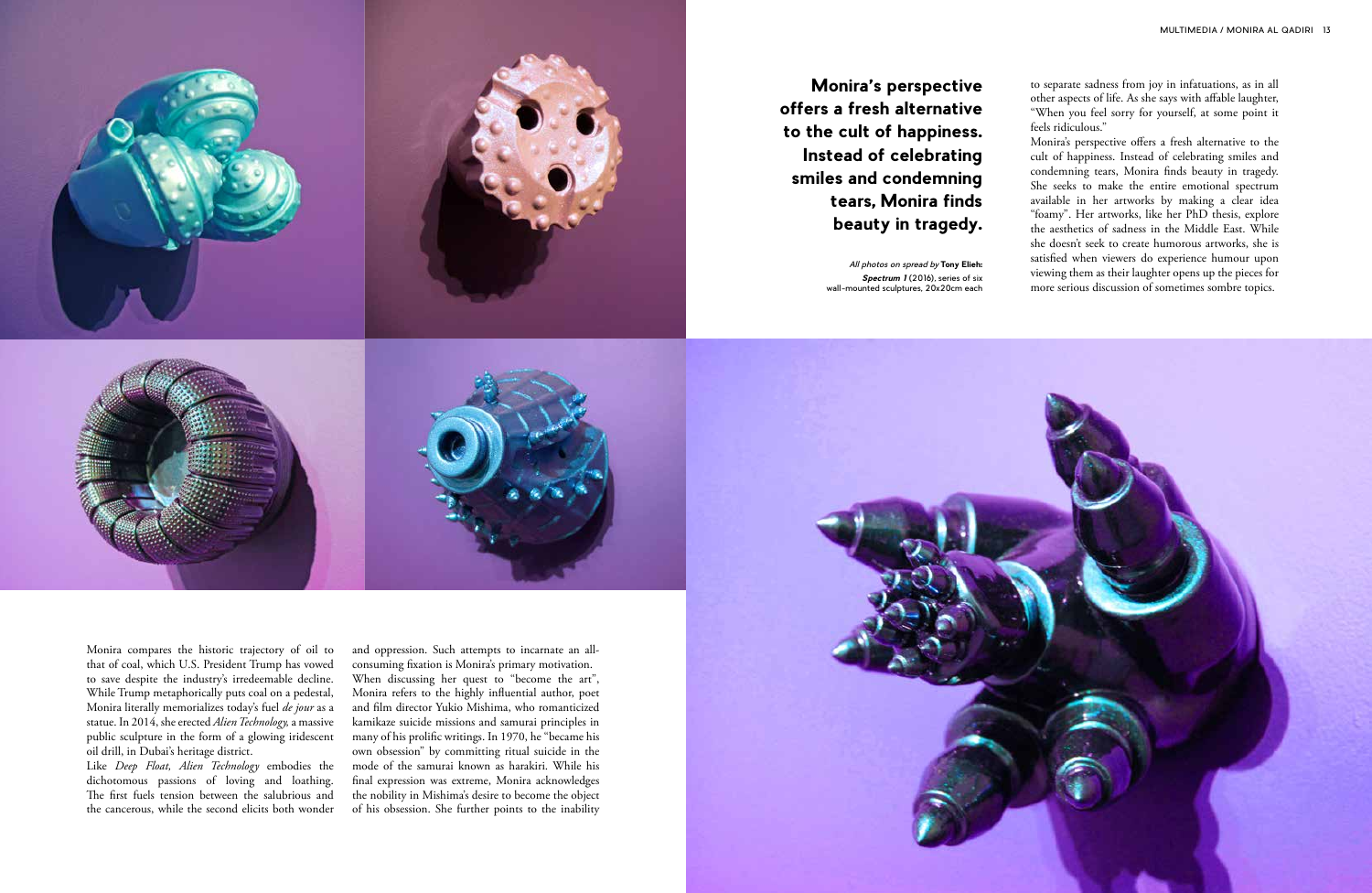Monira compares the historic trajectory of oil to that of coal, which U.S. President Trump has vowed to save despite the industry's irredeemable decline. While Trump metaphorically puts coal on a pedestal, Monira literally memorializes today's fuel *de jour* as a statue. In 2014, she erected *Alien Technology,* a massive public sculpture in the form of a glowing iridescent oil drill, in Dubai's heritage district.

Like *Deep Float, Alien Technology* embodies the dichotomous passions of loving and loathing. The first fuels tension between the salubrious and the cancerous, while the second elicits both wonder

and oppression. Such attempts to incarnate an allconsuming fixation is Monira's primary motivation. When discussing her quest to "become the art", Monira refers to the highly influential author, poet and film director Yukio Mishima, who romanticized kamikaze suicide missions and samurai principles in many of his prolific writings. In 1970, he "became his own obsession" by committing ritual suicide in the mode of the samurai known as harakiri. While his final expression was extreme, Monira acknowledges the nobility in Mishima's desire to become the object of his obsession. She further points to the inability







**Monira's perspective offers a fresh alternative to the cult of happiness. Instead of celebrating smiles and condemning tears, Monira finds beauty in tragedy.** 

to separate sadness from joy in infatuations, as in all other aspects of life. As she says with affable laughter, "When you feel sorry for yourself, at some point it feels ridiculous."

Monira's perspective offers a fresh alternative to the cult of happiness. Instead of celebrating smiles and condemning tears, Monira finds beauty in tragedy. She seeks to make the entire emotional spectrum available in her artworks by making a clear idea "foamy". Her artworks, like her PhD thesis, explore the aesthetics of sadness in the Middle East. While she doesn't seek to create humorous artworks, she is satisfied when viewers do experience humour upon viewing them as their laughter opens up the pieces for more serious discussion of sometimes sombre topics.

*All photos on spread by* **Tony Elieh:**  *Spectrum 1* (2016)*,* series of six wall-mounted sculptures, 20x20cm each